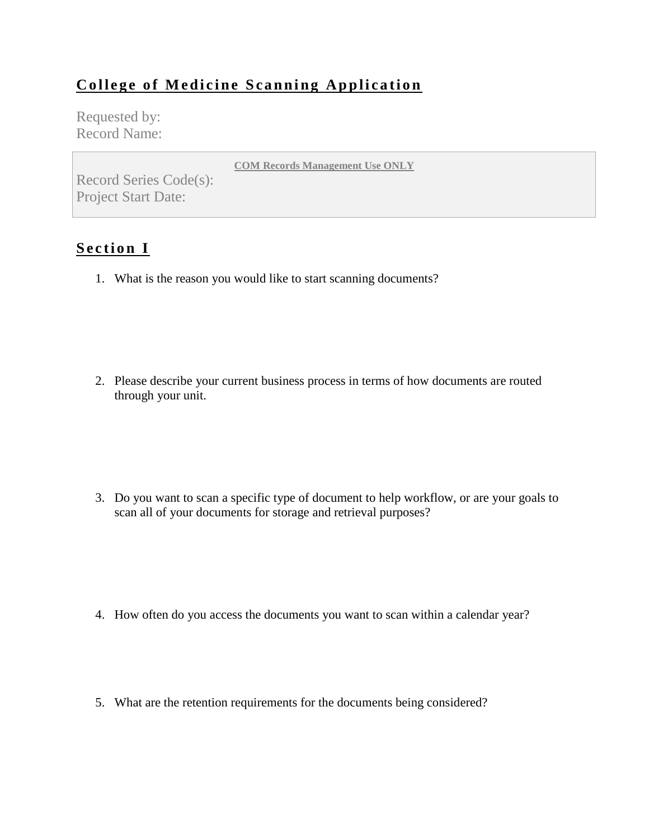## **College of Medicine Scanning Application**

Requested by: Record Name:

**COM Records Management Use ONLY**

Record Series Code(s): Project Start Date:

## **Section I**

1. What is the reason you would like to start scanning documents?

2. Please describe your current business process in terms of how documents are routed through your unit.

3. Do you want to scan a specific type of document to help workflow, or are your goals to scan all of your documents for storage and retrieval purposes?

- 4. How often do you access the documents you want to scan within a calendar year?
- 5. What are the retention requirements for the documents being considered?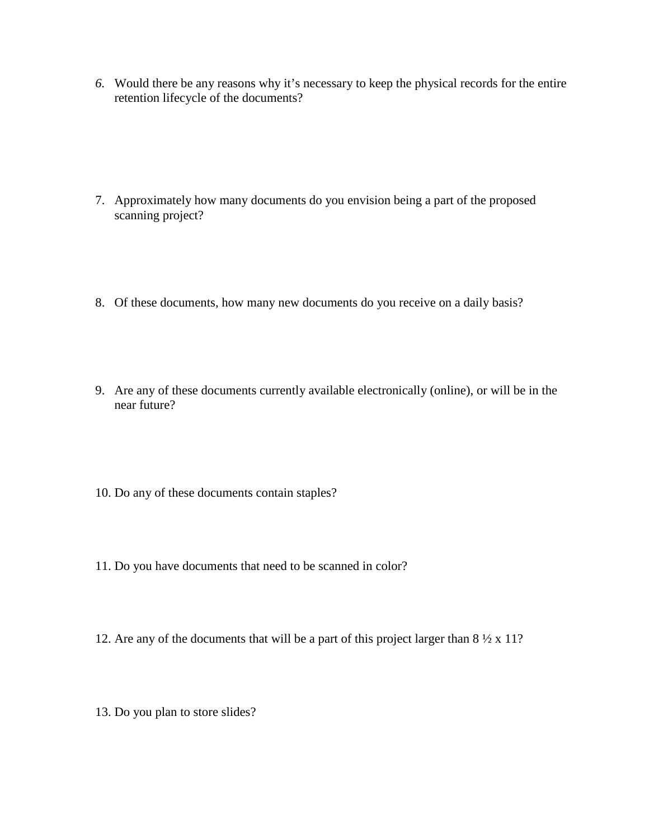*6.* Would there be any reasons why it's necessary to keep the physical records for the entire retention lifecycle of the documents?

- 7. Approximately how many documents do you envision being a part of the proposed scanning project?
- 8. Of these documents, how many new documents do you receive on a daily basis?
- 9. Are any of these documents currently available electronically (online), or will be in the near future?
- 10. Do any of these documents contain staples?
- 11. Do you have documents that need to be scanned in color?
- 12. Are any of the documents that will be a part of this project larger than 8 ½ x 11?
- 13. Do you plan to store slides?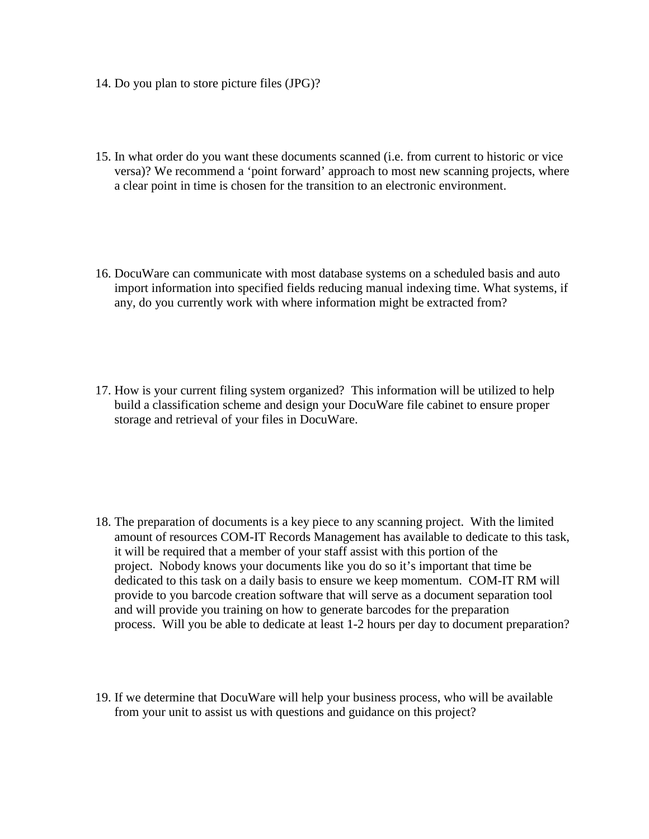- 14. Do you plan to store picture files (JPG)?
- 15. In what order do you want these documents scanned (i.e. from current to historic or vice versa)? We recommend a 'point forward' approach to most new scanning projects, where a clear point in time is chosen for the transition to an electronic environment.
- 16. DocuWare can communicate with most database systems on a scheduled basis and auto import information into specified fields reducing manual indexing time. What systems, if any, do you currently work with where information might be extracted from?
- 17. How is your current filing system organized? This information will be utilized to help build a classification scheme and design your DocuWare file cabinet to ensure proper storage and retrieval of your files in DocuWare.

- 18. The preparation of documents is a key piece to any scanning project. With the limited amount of resources COM-IT Records Management has available to dedicate to this task, it will be required that a member of your staff assist with this portion of the project. Nobody knows your documents like you do so it's important that time be dedicated to this task on a daily basis to ensure we keep momentum. COM-IT RM will provide to you barcode creation software that will serve as a document separation tool and will provide you training on how to generate barcodes for the preparation process. Will you be able to dedicate at least 1-2 hours per day to document preparation?
- 19. If we determine that DocuWare will help your business process, who will be available from your unit to assist us with questions and guidance on this project?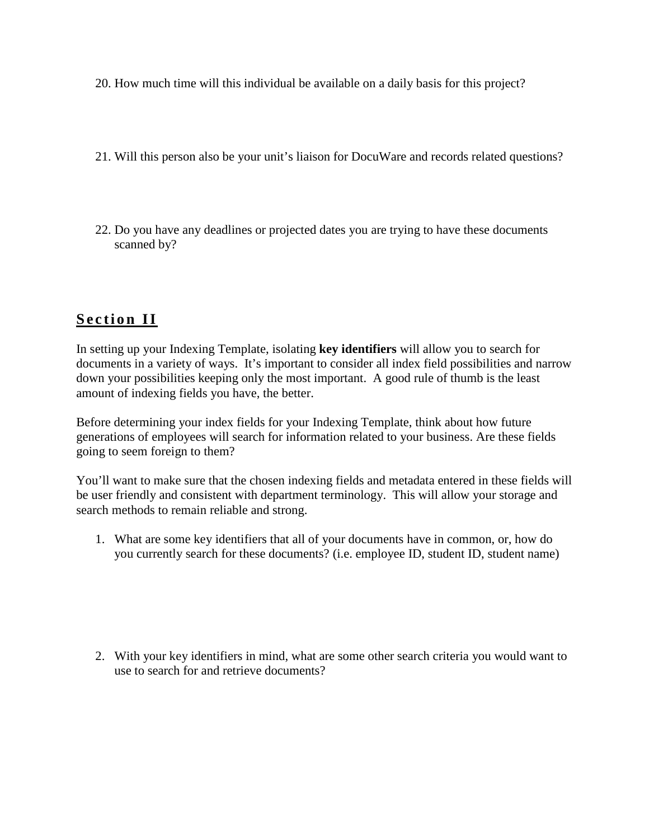- 20. How much time will this individual be available on a daily basis for this project?
- 21. Will this person also be your unit's liaison for DocuWare and records related questions?
- 22. Do you have any deadlines or projected dates you are trying to have these documents scanned by?

## **Section II**

In setting up your Indexing Template, isolating **key identifiers** will allow you to search for documents in a variety of ways. It's important to consider all index field possibilities and narrow down your possibilities keeping only the most important. A good rule of thumb is the least amount of indexing fields you have, the better.

Before determining your index fields for your Indexing Template, think about how future generations of employees will search for information related to your business. Are these fields going to seem foreign to them?

You'll want to make sure that the chosen indexing fields and metadata entered in these fields will be user friendly and consistent with department terminology. This will allow your storage and search methods to remain reliable and strong.

1. What are some key identifiers that all of your documents have in common, or, how do you currently search for these documents? (i.e. employee ID, student ID, student name)

2. With your key identifiers in mind, what are some other search criteria you would want to use to search for and retrieve documents?